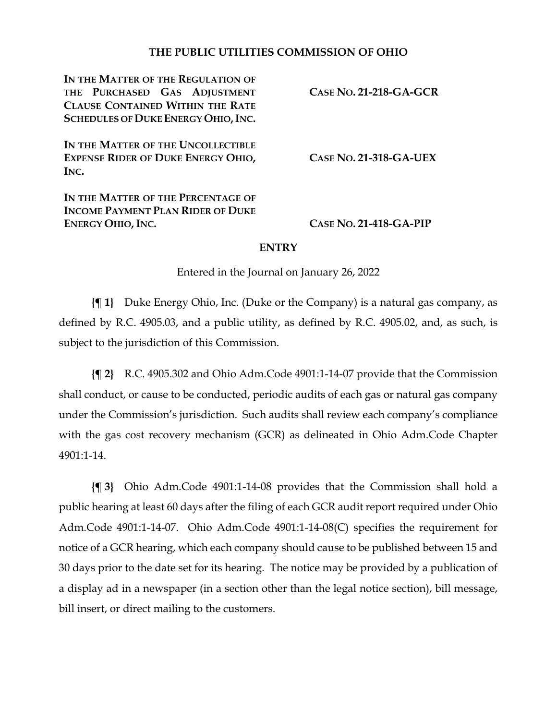#### **THE PUBLIC UTILITIES COMMISSION OF OHIO**

| IN THE MATTER OF THE REGULATION OF                                                    |                               |
|---------------------------------------------------------------------------------------|-------------------------------|
| THE PURCHASED GAS ADJUSTMENT                                                          | <b>CASE NO. 21-218-GA-GCR</b> |
| <b>CLAUSE CONTAINED WITHIN THE RATE</b><br><b>SCHEDULES OF DUKE ENERGY OHIO, INC.</b> |                               |
|                                                                                       |                               |
| <b>EXPENSE RIDER OF DUKE ENERGY OHIO,</b>                                             | $CASE No. 21-318-GA-UEX$      |
| INC.                                                                                  |                               |
| IN THE MATTER OF THE PERCENTAGE OF                                                    |                               |
| <b>INCOME PAYMENT PLAN RIDER OF DUKE</b>                                              |                               |
| <b>ENERGY OHIO, INC.</b>                                                              | <b>CASE NO. 21-418-GA-PIP</b> |

#### **ENTRY**

Entered in the Journal on January 26, 2022

**{¶ 1}** Duke Energy Ohio, Inc. (Duke or the Company) is a natural gas company, as defined by R.C. 4905.03, and a public utility, as defined by R.C. 4905.02, and, as such, is subject to the jurisdiction of this Commission.

**{¶ 2}** R.C. 4905.302 and Ohio Adm.Code 4901:1-14-07 provide that the Commission shall conduct, or cause to be conducted, periodic audits of each gas or natural gas company under the Commission's jurisdiction. Such audits shall review each company's compliance with the gas cost recovery mechanism (GCR) as delineated in Ohio Adm.Code Chapter 4901:1-14.

**{¶ 3}** Ohio Adm.Code 4901:1-14-08 provides that the Commission shall hold a public hearing at least 60 days after the filing of each GCR audit report required under Ohio Adm.Code 4901:1-14-07. Ohio Adm.Code 4901:1-14-08(C) specifies the requirement for notice of a GCR hearing, which each company should cause to be published between 15 and 30 days prior to the date set for its hearing. The notice may be provided by a publication of a display ad in a newspaper (in a section other than the legal notice section), bill message, bill insert, or direct mailing to the customers.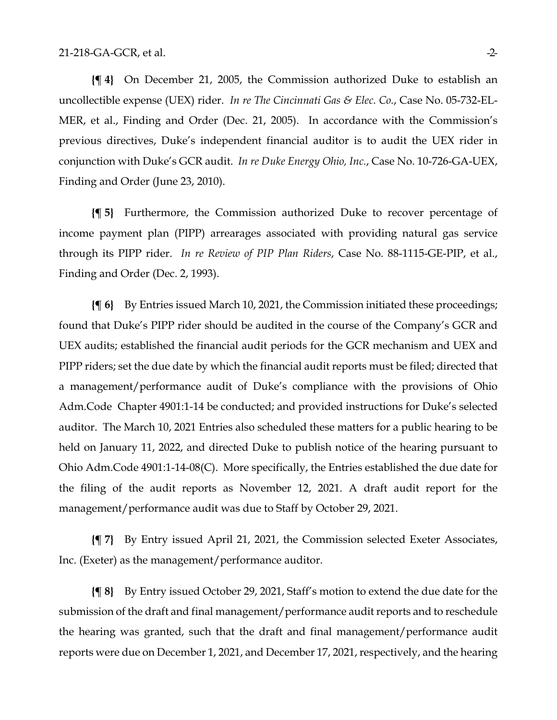**{¶ 4}** On December 21, 2005, the Commission authorized Duke to establish an uncollectible expense (UEX) rider. *In re The Cincinnati Gas & Elec. Co.*, Case No. 05-732-EL-MER, et al., Finding and Order (Dec. 21, 2005). In accordance with the Commission's previous directives, Duke's independent financial auditor is to audit the UEX rider in conjunction with Duke's GCR audit. *In re Duke Energy Ohio, Inc.*, Case No. 10-726-GA-UEX, Finding and Order (June 23, 2010).

**{¶ 5}** Furthermore, the Commission authorized Duke to recover percentage of income payment plan (PIPP) arrearages associated with providing natural gas service through its PIPP rider. *In re Review of PIP Plan Riders*, Case No. 88-1115-GE-PIP, et al., Finding and Order (Dec. 2, 1993).

**{¶ 6}** By Entries issued March 10, 2021, the Commission initiated these proceedings; found that Duke's PIPP rider should be audited in the course of the Company's GCR and UEX audits; established the financial audit periods for the GCR mechanism and UEX and PIPP riders; set the due date by which the financial audit reports must be filed; directed that a management/performance audit of Duke's compliance with the provisions of Ohio Adm.Code Chapter 4901:1-14 be conducted; and provided instructions for Duke's selected auditor. The March 10, 2021 Entries also scheduled these matters for a public hearing to be held on January 11, 2022, and directed Duke to publish notice of the hearing pursuant to Ohio Adm.Code 4901:1-14-08(C). More specifically, the Entries established the due date for the filing of the audit reports as November 12, 2021. A draft audit report for the management/performance audit was due to Staff by October 29, 2021.

**{¶ 7}** By Entry issued April 21, 2021, the Commission selected Exeter Associates, Inc. (Exeter) as the management/performance auditor.

**{¶ 8}** By Entry issued October 29, 2021, Staff's motion to extend the due date for the submission of the draft and final management/performance audit reports and to reschedule the hearing was granted, such that the draft and final management/performance audit reports were due on December 1, 2021, and December 17, 2021, respectively, and the hearing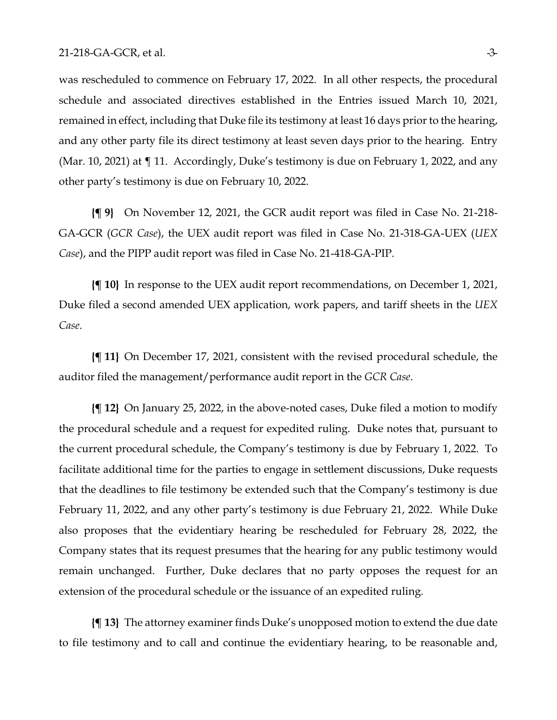was rescheduled to commence on February 17, 2022. In all other respects, the procedural schedule and associated directives established in the Entries issued March 10, 2021, remained in effect, including that Duke file its testimony at least 16 days prior to the hearing, and any other party file its direct testimony at least seven days prior to the hearing. Entry (Mar. 10, 2021) at ¶ 11. Accordingly, Duke's testimony is due on February 1, 2022, and any other party's testimony is due on February 10, 2022.

**{¶ 9}** On November 12, 2021, the GCR audit report was filed in Case No. 21-218- GA-GCR (*GCR Case*), the UEX audit report was filed in Case No. 21-318-GA-UEX (*UEX Case*), and the PIPP audit report was filed in Case No. 21-418-GA-PIP.

**{¶ 10}** In response to the UEX audit report recommendations, on December 1, 2021, Duke filed a second amended UEX application, work papers, and tariff sheets in the *UEX Case*.

**{¶ 11}** On December 17, 2021, consistent with the revised procedural schedule, the auditor filed the management/performance audit report in the *GCR Case*.

**{¶ 12}** On January 25, 2022, in the above-noted cases, Duke filed a motion to modify the procedural schedule and a request for expedited ruling. Duke notes that, pursuant to the current procedural schedule, the Company's testimony is due by February 1, 2022. To facilitate additional time for the parties to engage in settlement discussions, Duke requests that the deadlines to file testimony be extended such that the Company's testimony is due February 11, 2022, and any other party's testimony is due February 21, 2022. While Duke also proposes that the evidentiary hearing be rescheduled for February 28, 2022, the Company states that its request presumes that the hearing for any public testimony would remain unchanged. Further, Duke declares that no party opposes the request for an extension of the procedural schedule or the issuance of an expedited ruling.

**{¶ 13}** The attorney examiner finds Duke's unopposed motion to extend the due date to file testimony and to call and continue the evidentiary hearing, to be reasonable and,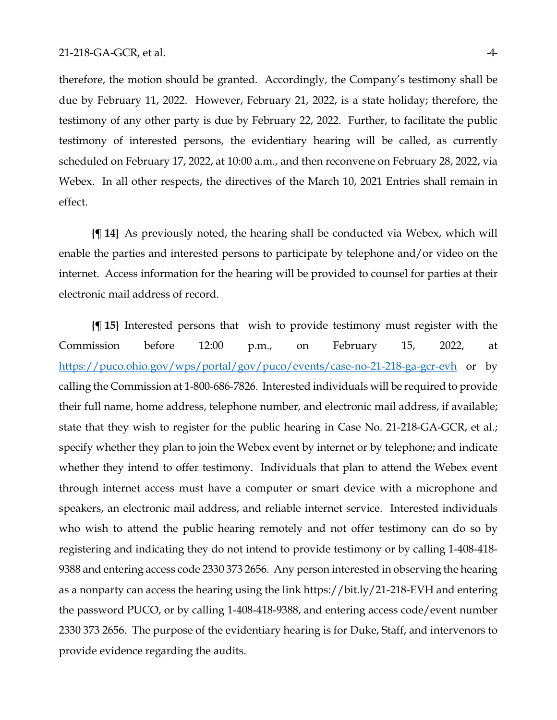therefore, the motion should be granted. Accordingly, the Company's testimony shall be due by February 11, 2022. However, February 21, 2022, is a state holiday; therefore, the testimony of any other party is due by February 22, 2022. Further, to facilitate the public testimony of interested persons, the evidentiary hearing will be called, as currently scheduled on February 17, 2022, at 10:00 a.m., and then reconvene on February 28, 2022, via Webex. In all other respects, the directives of the March 10, 2021 Entries shall remain in effect.

**{¶ 14}** As previously noted, the hearing shall be conducted via Webex, which will enable the parties and interested persons to participate by telephone and/or video on the internet. Access information for the hearing will be provided to counsel for parties at their electronic mail address of record.

**{¶ 15}** Interested persons that wish to provide testimony must register with the Commission before 12:00 p.m., on February 15, 2022, at <https://puco.ohio.gov/wps/portal/gov/puco/events/case-no-21-218-ga-gcr-evh> or by calling the Commission at 1-800-686-7826. Interested individuals will be required to provide their full name, home address, telephone number, and electronic mail address, if available; state that they wish to register for the public hearing in Case No. 21-218-GA-GCR, et al.; specify whether they plan to join the Webex event by internet or by telephone; and indicate whether they intend to offer testimony. Individuals that plan to attend the Webex event through internet access must have a computer or smart device with a microphone and speakers, an electronic mail address, and reliable internet service. Interested individuals who wish to attend the public hearing remotely and not offer testimony can do so by registering and indicating they do not intend to provide testimony or by calling 1-408-418- 9388 and entering access code 2330 373 2656. Any person interested in observing the hearing as a nonparty can access the hearing using the link https://bit.ly/21-218-EVH and entering the password PUCO, or by calling 1-408-418-9388, and entering access code/event number 2330 373 2656. The purpose of the evidentiary hearing is for Duke, Staff, and intervenors to provide evidence regarding the audits.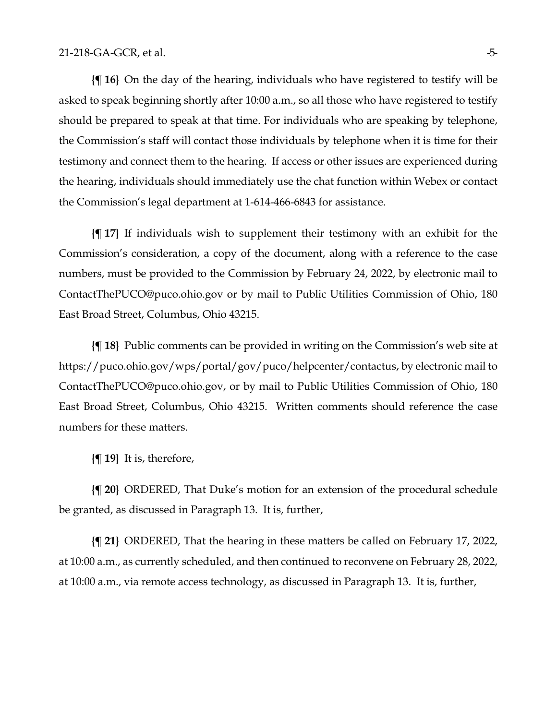**{¶ 16}** On the day of the hearing, individuals who have registered to testify will be asked to speak beginning shortly after 10:00 a.m., so all those who have registered to testify should be prepared to speak at that time. For individuals who are speaking by telephone, the Commission's staff will contact those individuals by telephone when it is time for their testimony and connect them to the hearing. If access or other issues are experienced during the hearing, individuals should immediately use the chat function within Webex or contact the Commission's legal department at 1-614-466-6843 for assistance.

**{¶ 17}** If individuals wish to supplement their testimony with an exhibit for the Commission's consideration, a copy of the document, along with a reference to the case numbers, must be provided to the Commission by February 24, 2022, by electronic mail to ContactThePUCO@puco.ohio.gov or by mail to Public Utilities Commission of Ohio, 180 East Broad Street, Columbus, Ohio 43215.

**{¶ 18}** Public comments can be provided in writing on the Commission's web site at [https://puco.ohio.gov/wps/portal/gov/puco/helpcenter/contactus,](https://puco.ohio.gov/wps/portal/gov/puco/helpcenter/contactus) by electronic mail to ContactThePUCO@puco.ohio.gov, or by mail to Public Utilities Commission of Ohio, 180 East Broad Street, Columbus, Ohio 43215. Written comments should reference the case numbers for these matters.

**{¶ 19}** It is, therefore,

**{¶ 20}** ORDERED, That Duke's motion for an extension of the procedural schedule be granted, as discussed in Paragraph 13. It is, further,

**{¶ 21}** ORDERED, That the hearing in these matters be called on February 17, 2022, at 10:00 a.m., as currently scheduled, and then continued to reconvene on February 28, 2022, at 10:00 a.m., via remote access technology, as discussed in Paragraph 13. It is, further,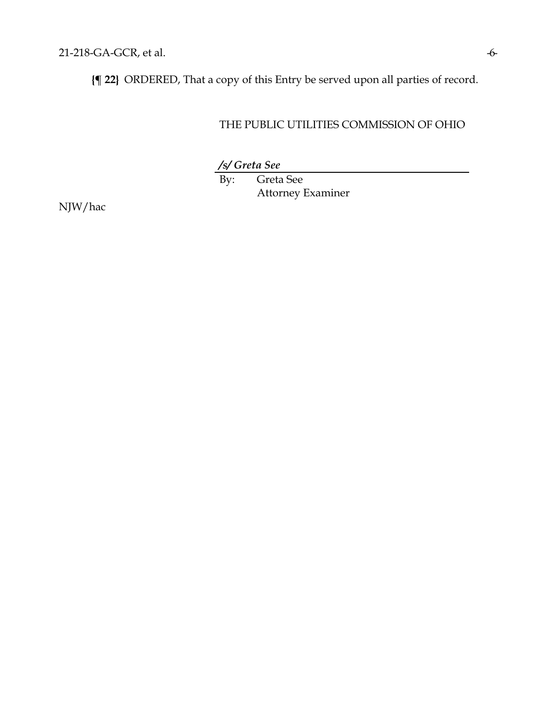**{¶ 22}** ORDERED, That a copy of this Entry be served upon all parties of record.

# THE PUBLIC UTILITIES COMMISSION OF OHIO

*/s/ Greta See*

By: Greta See Attorney Examiner

NJW/hac